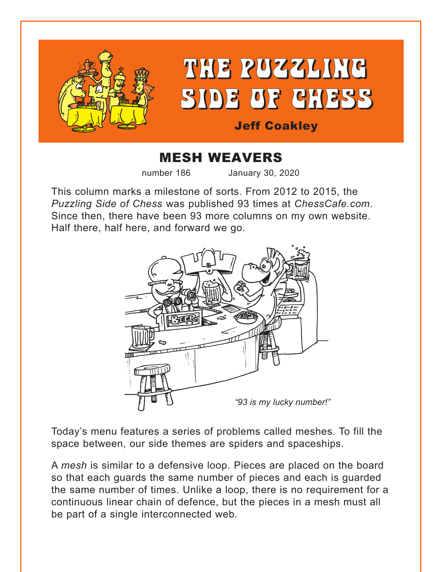



# Jeff Coakley

# MESH WEAVERS

number 186 January 30, 2020

This column marks a milestone of sorts. From 2012 to 2015, the *Puzzling Side of Chess* was published 93 times at *ChessCafe.com*. Since then, there have been 93 more columns on my own website. Half there, half here, and forward we go.



Today's menu features a series of problems called meshes. To fill the space between, our side themes are spiders and spaceships.

A *mesh* is similar to a defensive loop. Pieces are placed on the board so that each guards the same number of pieces and each is guarded the same number of times. Unlike a loop, there is no requirement for a continuous linear chain of defence, but the pieces in a mesh must all be part of a single interconnected web.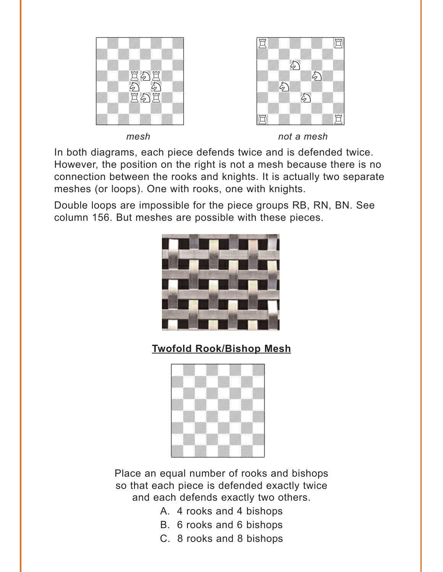<span id="page-1-0"></span>



*mesh not a mesh*

In both diagrams, each piece defends twice and is defended twice. However, the position on the right is not a mesh because there is no connection between the rooks and knights. It is actually two separate meshes (or loops). One with rooks, one with knights.

Double loops are impossible for the piece groups RB, RN, BN. See column 156. But meshes are possible with these pieces.



**[Twofold Rook/Bishop Mesh](#page-7-0)**



Place an equal number of rooks and bishops so that each piece is defended exactly twice and each defends exactly two others.

- A. 4 rooks and 4 bishops
- B. 6 rooks and 6 bishops
- C. 8 rooks and 8 bishops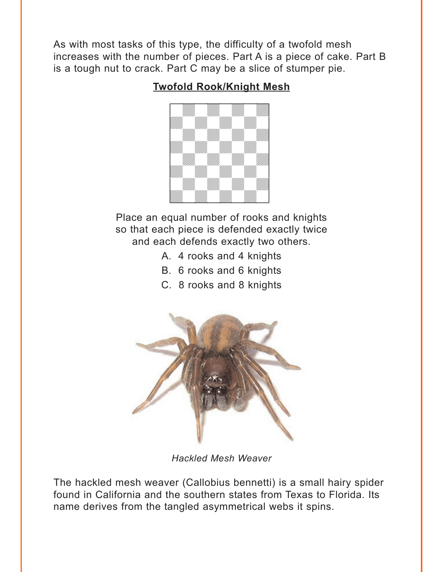<span id="page-2-0"></span>As with most tasks of this type, the difficulty of a twofold mesh increases with the number of pieces. Part A is a piece of cake. Part B is a tough nut to crack. Part C may be a slice of stumper pie.

## **[Twofold Rook/Knight Mesh](#page-9-0)**



Place an equal number of rooks and knights so that each piece is defended exactly twice and each defends exactly two others.

- A. 4 rooks and 4 knights
- B. 6 rooks and 6 knights
- C. 8 rooks and 8 knights



*Hackled Mesh Weaver*

The hackled mesh weaver (Callobius bennetti) is a small hairy spider found in California and the southern states from Texas to Florida. Its name derives from the tangled asymmetrical webs it spins.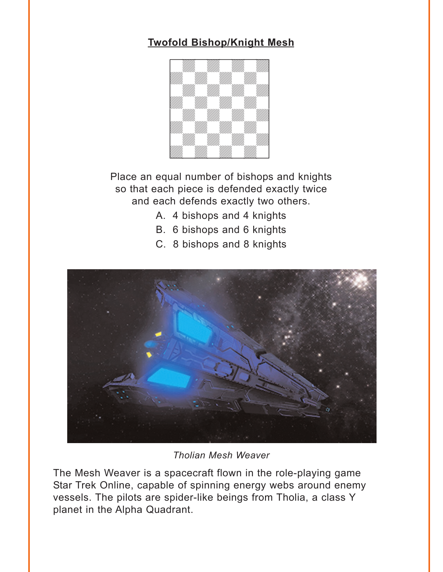# <span id="page-3-0"></span>**[Twofold Bishop/Knight Mesh](#page-10-0)**



Place an equal number of bishops and knights so that each piece is defended exactly twice and each defends exactly two others.

- A. 4 bishops and 4 knights
- B. 6 bishops and 6 knights
- C. 8 bishops and 8 knights



*Tholian Mesh Weaver*

The Mesh Weaver is a spacecraft flown in the role-playing game Star Trek Online, capable of spinning energy webs around enemy vessels. The pilots are spider-like beings from Tholia, a class Y planet in the Alpha Quadrant.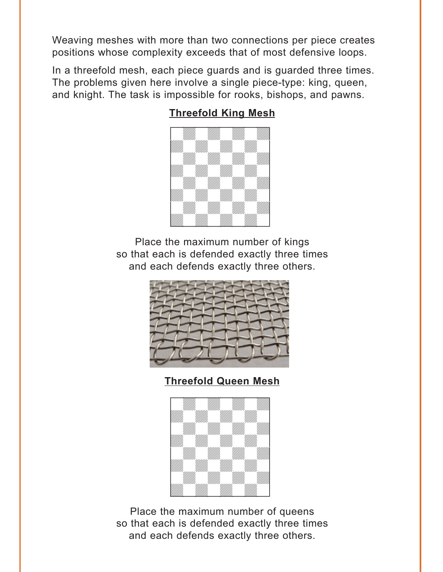<span id="page-4-0"></span>Weaving meshes with more than two connections per piece creates positions whose complexity exceeds that of most defensive loops.

In a threefold mesh, each piece guards and is guarded three times. The problems given here involve a single piece-type: king, queen, and knight. The task is impossible for rooks, bishops, and pawns.

### **[Threefold King Mesh](#page-12-0)**



Place the maximum number of kings so that each is defended exactly three times and each defends exactly three others.



**[Threefold Queen Mesh](#page-12-0)**



Place the maximum number of queens so that each is defended exactly three times and each defends exactly three others.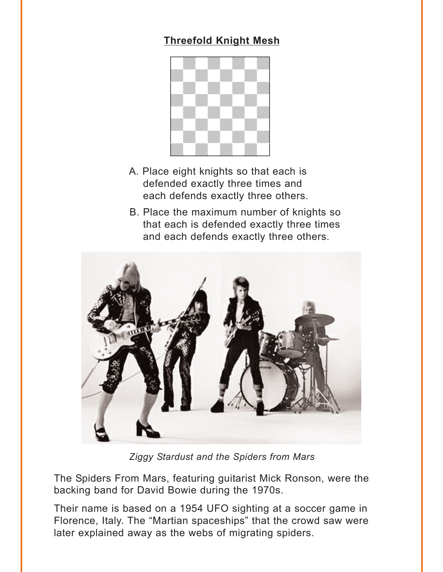# **[Threefold Knight Mesh](#page-13-0)**

<span id="page-5-0"></span>

- A. Place eight knights so that each is defended exactly three times and each defends exactly three others.
- B. Place the maximum number of knights so that each is defended exactly three times and each defends exactly three others.



*Ziggy Stardust and the Spiders from Mars*

The Spiders From Mars, featuring guitarist Mick Ronson, were the backing band for David Bowie during the 1970s.

Their name is based on a 1954 UFO sighting at a soccer game in Florence, Italy. The "Martian spaceships" that the crowd saw were later explained away as the webs of migrating spiders.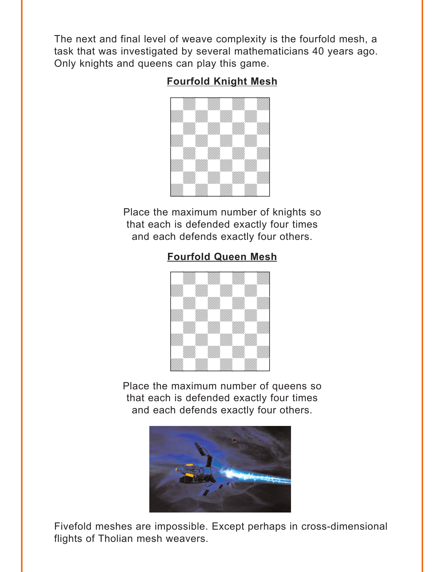<span id="page-6-0"></span>The next and final level of weave complexity is the fourfold mesh, a task that was investigated by several mathematicians 40 years ago. Only knights and queens can play this game.

# **[Fourfold Knight Mesh](#page-14-0)**



Place the maximum number of knights so that each is defended exactly four times and each defends exactly four others.

# **[Fourfold Queen Mesh](#page-14-0)**



Place the maximum number of queens so that each is defended exactly four times and each defends exactly four others.



Fivefold meshes are impossible. Except perhaps in cross-dimensional flights of Tholian mesh weavers.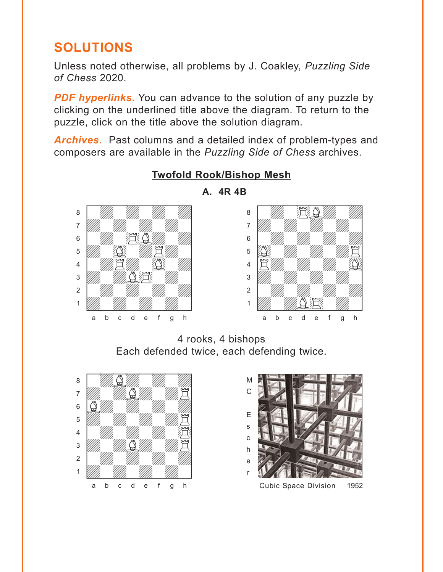# <span id="page-7-0"></span>**SOLUTIONS**

Unless noted otherwise, all problems by J. Coakley, *Puzzling Side of Chess* 2020.

**PDF hyperlinks.** You can advance to the solution of any puzzle by clicking on the underlined title above the diagram. To return to the puzzle, click on the title above the solution diagram.

*Archives***.** Past columns and a detailed index of problem-types and composers are available in the *Puzzling Side of Chess* archives.



**[Twofold Rook/Bishop Mesh](#page-1-0)**



**A. 4R 4B**

4 rooks, 4 bishops Each defended twice, each defending twice.



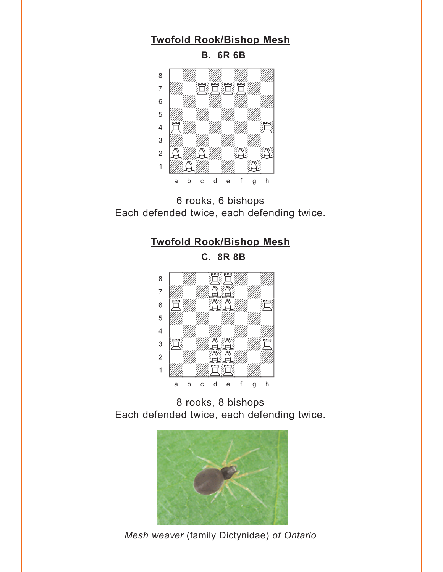#### **[Twofold Rook/Bishop Mesh](#page-1-0)**

**B. 6R 6B**



6 rooks, 6 bishops Each defended twice, each defending twice.

#### **[Twofold Rook/Bishop Mesh](#page-1-0)**

**C. 8R 8B**



8 rooks, 8 bishops Each defended twice, each defending twice.



*Mesh weaver* (family Dictynidae) *of Ontario*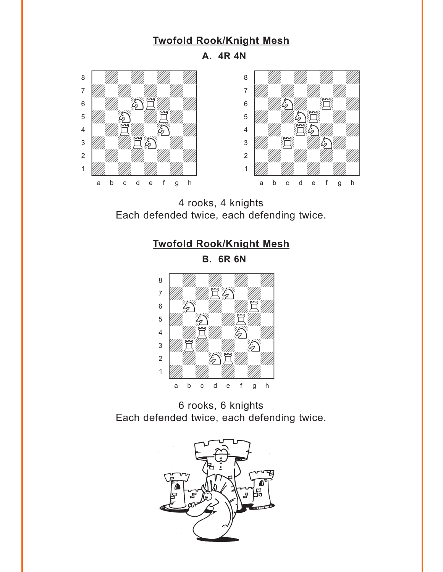#### **[Twofold Rook/Knight Mesh](#page-2-0)**

**A. 4R 4N**

<span id="page-9-0"></span>



4 rooks, 4 knights Each defended twice, each defending twice.



**B. 6R 6N**



6 rooks, 6 knights Each defended twice, each defending twice.

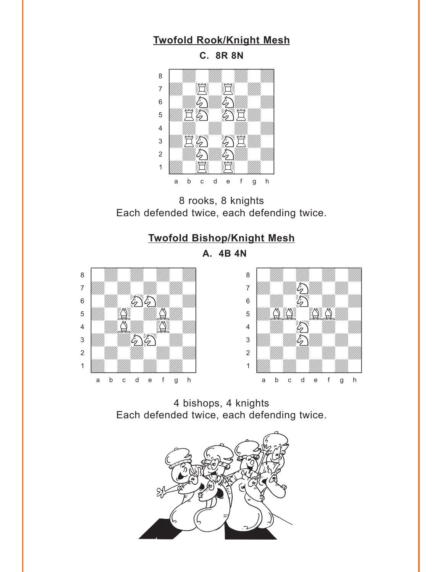#### **[Twofold Rook/Knight Mesh](#page-2-0)**

<span id="page-10-0"></span>

8 rooks, 8 knights Each defended twice, each defending twice.

#### **[Twofold Bishop/Knight Mesh](#page-3-0)**

**A. 4B 4N**





4 bishops, 4 knights Each defended twice, each defending twice.

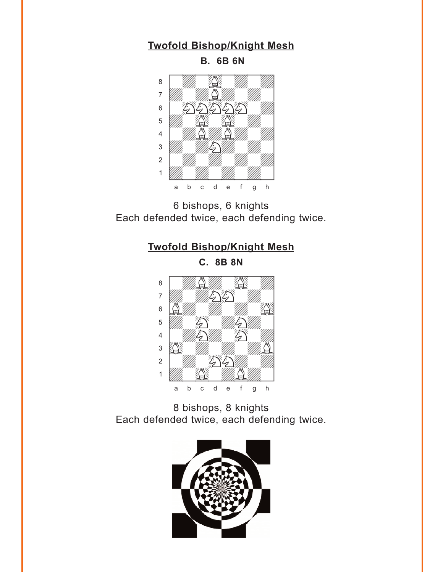### **[Twofold Bishop/Knight Mesh](#page-3-0)**

**B. 6B 6N**



6 bishops, 6 knights Each defended twice, each defending twice.

# **[Twofold Bishop/Knight Mesh](#page-3-0)**

**C. 8B 8N**



8 bishops, 8 knights Each defended twice, each defending twice.

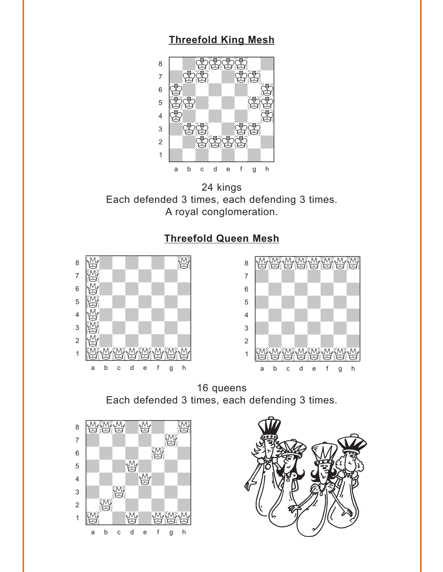### **[Threefold King Mesh](#page-4-0)**

<span id="page-12-0"></span>

24 kings Each defended 3 times, each defending 3 times. A royal conglomeration.

### **[Threefold Queen Mesh](#page-4-0)**





16 queens Each defended 3 times, each defending 3 times.



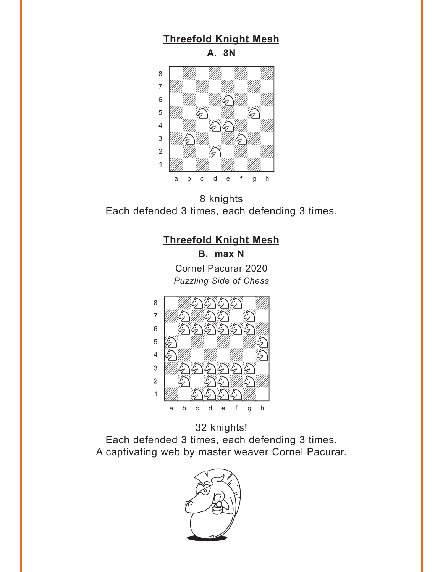## **[Threefold Knight Mesh](#page-5-0)**

**A. 8N**

<span id="page-13-0"></span>

8 knights Each defended 3 times, each defending 3 times.

#### **[Threefold Knight Mesh](#page-5-0)**

**B. max N** Cornel Pacurar 2020 *Puzzling Side of Chess*



32 knights! Each defended 3 times, each defending 3 times. A captivating web by master weaver Cornel Pacurar.

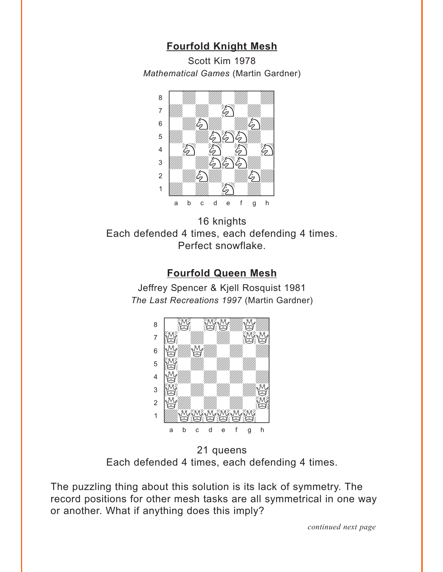### **[Fourfold Knight Mesh](#page-6-0)**

Scott Kim 1978 *Mathematical Games* (Martin Gardner)

<span id="page-14-0"></span>

16 knights Each defended 4 times, each defending 4 times. Perfect snowflake.

#### **[Fourfold Queen Mesh](#page-6-0)**

Jeffrey Spencer & Kjell Rosquist 1981 *The Last Recreations 1997* (Martin Gardner)



21 queens Each defended 4 times, each defending 4 times.

The puzzling thing about this solution is its lack of symmetry. The record positions for other mesh tasks are all symmetrical in one way or another. What if anything does this imply?

*continued next page*